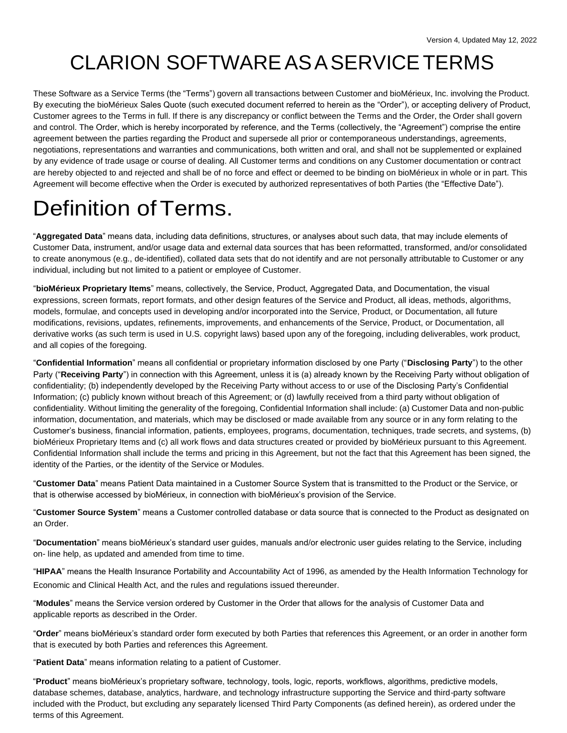### CLARION SOFTWAREASASERVICETERMS

These Software as a Service Terms (the "Terms") govern all transactions between Customer and bioMérieux, Inc. involving the Product. By executing the bioMérieux Sales Quote (such executed document referred to herein as the "Order"), or accepting delivery of Product, Customer agrees to the Terms in full. If there is any discrepancy or conflict between the Terms and the Order, the Order shall govern and control. The Order, which is hereby incorporated by reference, and the Terms (collectively, the "Agreement") comprise the entire agreement between the parties regarding the Product and supersede all prior or contemporaneous understandings, agreements, negotiations, representations and warranties and communications, both written and oral, and shall not be supplemented or explained by any evidence of trade usage or course of dealing. All Customer terms and conditions on any Customer documentation or contract are hereby objected to and rejected and shall be of no force and effect or deemed to be binding on bioMérieux in whole or in part. This Agreement will become effective when the Order is executed by authorized representatives of both Parties (the "Effective Date").

### Definition of Terms.

"**Aggregated Data**" means data, including data definitions, structures, or analyses about such data, that may include elements of Customer Data, instrument, and/or usage data and external data sources that has been reformatted, transformed, and/or consolidated to create anonymous (e.g., de-identified), collated data sets that do not identify and are not personally attributable to Customer or any individual, including but not limited to a patient or employee of Customer.

"**bioMérieux Proprietary Items**" means, collectively, the Service, Product, Aggregated Data, and Documentation, the visual expressions, screen formats, report formats, and other design features of the Service and Product, all ideas, methods, algorithms, models, formulae, and concepts used in developing and/or incorporated into the Service, Product, or Documentation, all future modifications, revisions, updates, refinements, improvements, and enhancements of the Service, Product, or Documentation, all derivative works (as such term is used in U.S. copyright laws) based upon any of the foregoing, including deliverables, work product, and all copies of the foregoing.

"**Confidential Information**" means all confidential or proprietary information disclosed by one Party ("**Disclosing Party**") to the other Party ("**Receiving Party**") in connection with this Agreement, unless it is (a) already known by the Receiving Party without obligation of confidentiality; (b) independently developed by the Receiving Party without access to or use of the Disclosing Party's Confidential Information; (c) publicly known without breach of this Agreement; or (d) lawfully received from a third party without obligation of confidentiality. Without limiting the generality of the foregoing, Confidential Information shall include: (a) Customer Data and non-public information, documentation, and materials, which may be disclosed or made available from any source or in any form relating to the Customer's business, financial information, patients, employees, programs, documentation, techniques, trade secrets, and systems, (b) bioMérieux Proprietary Items and (c) all work flows and data structures created or provided by bioMérieux pursuant to this Agreement. Confidential Information shall include the terms and pricing in this Agreement, but not the fact that this Agreement has been signed, the identity of the Parties, or the identity of the Service or Modules.

"**Customer Data**" means Patient Data maintained in a Customer Source System that is transmitted to the Product or the Service, or that is otherwise accessed by bioMérieux, in connection with bioMérieux's provision of the Service.

"**Customer Source System**" means a Customer controlled database or data source that is connected to the Product as designated on an Order.

"**Documentation**" means bioMérieux's standard user guides, manuals and/or electronic user guides relating to the Service, including on- line help, as updated and amended from time to time.

"**HIPAA**" means the Health Insurance Portability and Accountability Act of 1996, as amended by the Health Information Technology for Economic and Clinical Health Act, and the rules and regulations issued thereunder.

"**Modules**" means the Service version ordered by Customer in the Order that allows for the analysis of Customer Data and applicable reports as described in the Order.

"**Order**" means bioMérieux's standard order form executed by both Parties that references this Agreement, or an order in another form that is executed by both Parties and references this Agreement.

"**Patient Data**" means information relating to a patient of Customer.

"**Product**" means bioMérieux's proprietary software, technology, tools, logic, reports, workflows, algorithms, predictive models, database schemes, database, analytics, hardware, and technology infrastructure supporting the Service and third-party software included with the Product, but excluding any separately licensed Third Party Components (as defined herein), as ordered under the terms of this Agreement.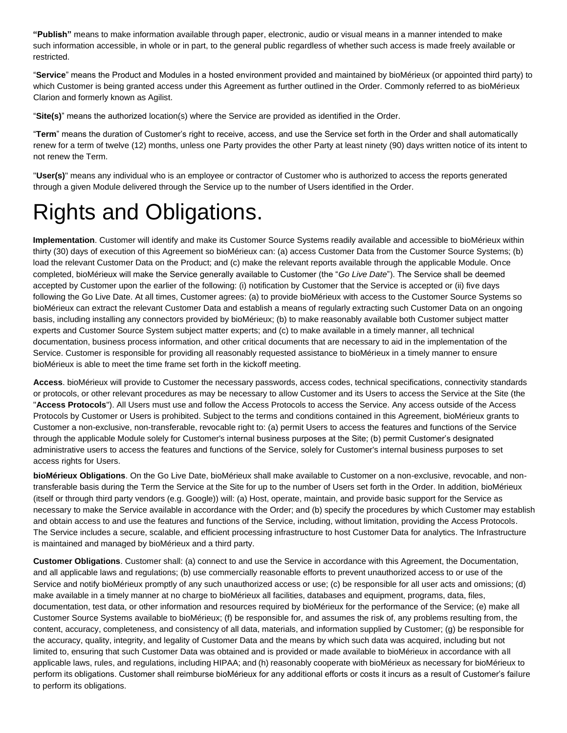**"Publish"** means to make information available through paper, electronic, audio or visual means in a manner intended to make such information accessible, in whole or in part, to the general public regardless of whether such access is made freely available or restricted.

"**Service**" means the Product and Modules in a hosted environment provided and maintained by bioMérieux (or appointed third party) to which Customer is being granted access under this Agreement as further outlined in the Order. Commonly referred to as bioMérieux Clarion and formerly known as Agilist.

"**Site(s)**" means the authorized location(s) where the Service are provided as identified in the Order.

"**Term**" means the duration of Customer's right to receive, access, and use the Service set forth in the Order and shall automatically renew for a term of twelve (12) months, unless one Party provides the other Party at least ninety (90) days written notice of its intent to not renew the Term.

"**User(s)**" means any individual who is an employee or contractor of Customer who is authorized to access the reports generated through a given Module delivered through the Service up to the number of Users identified in the Order.

## Rights and Obligations.

**Implementation**. Customer will identify and make its Customer Source Systems readily available and accessible to bioMérieux within thirty (30) days of execution of this Agreement so bioMérieux can: (a) access Customer Data from the Customer Source Systems; (b) load the relevant Customer Data on the Product; and (c) make the relevant reports available through the applicable Module. Once completed, bioMérieux will make the Service generally available to Customer (the "*Go Live Date*"). The Service shall be deemed accepted by Customer upon the earlier of the following: (i) notification by Customer that the Service is accepted or (ii) five days following the Go Live Date. At all times, Customer agrees: (a) to provide bioMérieux with access to the Customer Source Systems so bioMérieux can extract the relevant Customer Data and establish a means of regularly extracting such Customer Data on an ongoing basis, including installing any connectors provided by bioMérieux; (b) to make reasonably available both Customer subject matter experts and Customer Source System subject matter experts; and (c) to make available in a timely manner, all technical documentation, business process information, and other critical documents that are necessary to aid in the implementation of the Service. Customer is responsible for providing all reasonably requested assistance to bioMérieux in a timely manner to ensure bioMérieux is able to meet the time frame set forth in the kickoff meeting.

**Access**. bioMérieux will provide to Customer the necessary passwords, access codes, technical specifications, connectivity standards or protocols, or other relevant procedures as may be necessary to allow Customer and its Users to access the Service at the Site (the "**Access Protocols**"). All Users must use and follow the Access Protocols to access the Service. Any access outside of the Access Protocols by Customer or Users is prohibited. Subject to the terms and conditions contained in this Agreement, bioMérieux grants to Customer a non-exclusive, non-transferable, revocable right to: (a) permit Users to access the features and functions of the Service through the applicable Module solely for Customer's internal business purposes at the Site; (b) permit Customer's designated administrative users to access the features and functions of the Service, solely for Customer's internal business purposes to set access rights for Users.

**bioMérieux Obligations**. On the Go Live Date, bioMérieux shall make available to Customer on a non-exclusive, revocable, and nontransferable basis during the Term the Service at the Site for up to the number of Users set forth in the Order. In addition, bioMérieux (itself or through third party vendors (e.g. Google)) will: (a) Host, operate, maintain, and provide basic support for the Service as necessary to make the Service available in accordance with the Order; and (b) specify the procedures by which Customer may establish and obtain access to and use the features and functions of the Service, including, without limitation, providing the Access Protocols. The Service includes a secure, scalable, and efficient processing infrastructure to host Customer Data for analytics. The Infrastructure is maintained and managed by bioMérieux and a third party.

**Customer Obligations**. Customer shall: (a) connect to and use the Service in accordance with this Agreement, the Documentation, and all applicable laws and regulations; (b) use commercially reasonable efforts to prevent unauthorized access to or use of the Service and notify bioMérieux promptly of any such unauthorized access or use; (c) be responsible for all user acts and omissions; (d) make available in a timely manner at no charge to bioMérieux all facilities, databases and equipment, programs, data, files, documentation, test data, or other information and resources required by bioMérieux for the performance of the Service; (e) make all Customer Source Systems available to bioMérieux; (f) be responsible for, and assumes the risk of, any problems resulting from, the content, accuracy, completeness, and consistency of all data, materials, and information supplied by Customer; (g) be responsible for the accuracy, quality, integrity, and legality of Customer Data and the means by which such data was acquired, including but not limited to, ensuring that such Customer Data was obtained and is provided or made available to bioMérieux in accordance with all applicable laws, rules, and regulations, including HIPAA; and (h) reasonably cooperate with bioMérieux as necessary for bioMérieux to perform its obligations. Customer shall reimburse bioMérieux for any additional efforts or costs it incurs as a result of Customer's failure to perform its obligations.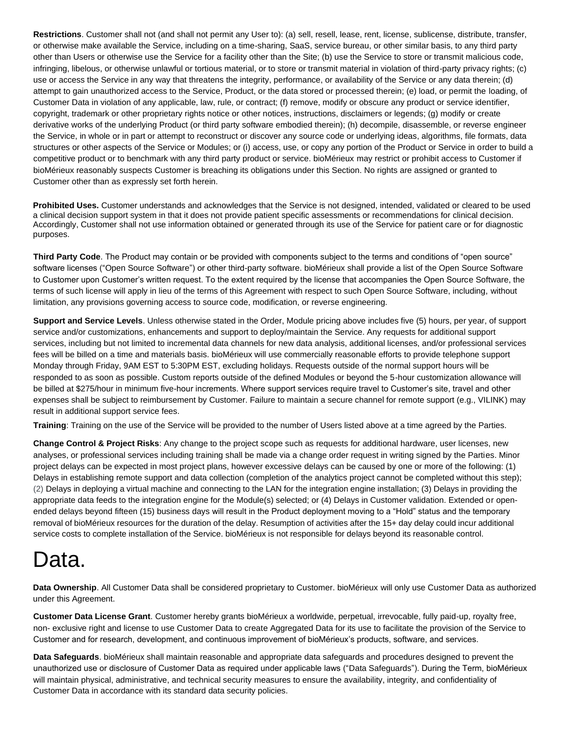**Restrictions**. Customer shall not (and shall not permit any User to): (a) sell, resell, lease, rent, license, sublicense, distribute, transfer, or otherwise make available the Service, including on a time-sharing, SaaS, service bureau, or other similar basis, to any third party other than Users or otherwise use the Service for a facility other than the Site; (b) use the Service to store or transmit malicious code, infringing, libelous, or otherwise unlawful or tortious material, or to store or transmit material in violation of third-party privacy rights; (c) use or access the Service in any way that threatens the integrity, performance, or availability of the Service or any data therein; (d) attempt to gain unauthorized access to the Service, Product, or the data stored or processed therein; (e) load, or permit the loading, of Customer Data in violation of any applicable, law, rule, or contract; (f) remove, modify or obscure any product or service identifier, copyright, trademark or other proprietary rights notice or other notices, instructions, disclaimers or legends; (g) modify or create derivative works of the underlying Product (or third party software embodied therein); (h) decompile, disassemble, or reverse engineer the Service, in whole or in part or attempt to reconstruct or discover any source code or underlying ideas, algorithms, file formats, data structures or other aspects of the Service or Modules; or (i) access, use, or copy any portion of the Product or Service in order to build a competitive product or to benchmark with any third party product or service. bioMérieux may restrict or prohibit access to Customer if bioMérieux reasonably suspects Customer is breaching its obligations under this Section. No rights are assigned or granted to Customer other than as expressly set forth herein.

**Prohibited Uses.** Customer understands and acknowledges that the Service is not designed, intended, validated or cleared to be used a clinical decision support system in that it does not provide patient specific assessments or recommendations for clinical decision. Accordingly, Customer shall not use information obtained or generated through its use of the Service for patient care or for diagnostic purposes.

**Third Party Code**. The Product may contain or be provided with components subject to the terms and conditions of "open source" software licenses ("Open Source Software") or other third-party software. bioMérieux shall provide a list of the Open Source Software to Customer upon Customer's written request. To the extent required by the license that accompanies the Open Source Software, the terms of such license will apply in lieu of the terms of this Agreement with respect to such Open Source Software, including, without limitation, any provisions governing access to source code, modification, or reverse engineering.

**Support and Service Levels**. Unless otherwise stated in the Order, Module pricing above includes five (5) hours, per year, of support service and/or customizations, enhancements and support to deploy/maintain the Service. Any requests for additional support services, including but not limited to incremental data channels for new data analysis, additional licenses, and/or professional services fees will be billed on a time and materials basis. bioMérieux will use commercially reasonable efforts to provide telephone support Monday through Friday, 9AM EST to 5:30PM EST, excluding holidays. Requests outside of the normal support hours will be responded to as soon as possible. Custom reports outside of the defined Modules or beyond the 5-hour customization allowance will be billed at \$275/hour in minimum five-hour increments. Where support services require travel to Customer's site, travel and other expenses shall be subject to reimbursement by Customer. Failure to maintain a secure channel for remote support (e.g., VILINK) may result in additional support service fees.

**Training**: Training on the use of the Service will be provided to the number of Users listed above at a time agreed by the Parties.

**Change Control & Project Risks**: Any change to the project scope such as requests for additional hardware, user licenses, new analyses, or professional services including training shall be made via a change order request in writing signed by the Parties. Minor project delays can be expected in most project plans, however excessive delays can be caused by one or more of the following: (1) Delays in establishing remote support and data collection (completion of the analytics project cannot be completed without this step); (2) Delays in deploying a virtual machine and connecting to the LAN for the integration engine installation; (3) Delays in providing the appropriate data feeds to the integration engine for the Module(s) selected; or (4) Delays in Customer validation. Extended or openended delays beyond fifteen (15) business days will result in the Product deployment moving to a "Hold" status and the temporary removal of bioMérieux resources for the duration of the delay. Resumption of activities after the 15+ day delay could incur additional service costs to complete installation of the Service. bioMérieux is not responsible for delays beyond its reasonable control.

### Data.

**Data Ownership**. All Customer Data shall be considered proprietary to Customer. bioMérieux will only use Customer Data as authorized under this Agreement.

**Customer Data License Grant**. Customer hereby grants bioMérieux a worldwide, perpetual, irrevocable, fully paid-up, royalty free, non- exclusive right and license to use Customer Data to create Aggregated Data for its use to facilitate the provision of the Service to Customer and for research, development, and continuous improvement of bioMérieux's products, software, and services.

**Data Safeguards**. bioMérieux shall maintain reasonable and appropriate data safeguards and procedures designed to prevent the unauthorized use or disclosure of Customer Data as required under applicable laws ("Data Safeguards"). During the Term, bioMérieux will maintain physical, administrative, and technical security measures to ensure the availability, integrity, and confidentiality of Customer Data in accordance with its standard data security policies.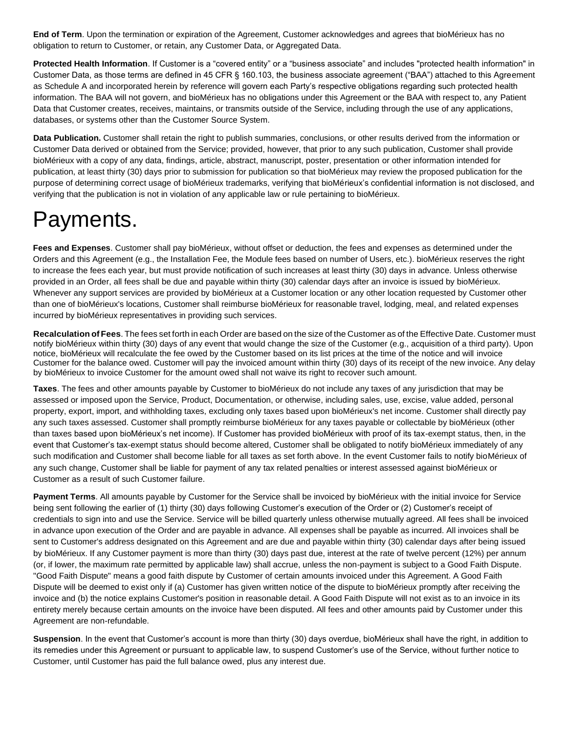**End of Term**. Upon the termination or expiration of the Agreement, Customer acknowledges and agrees that bioMérieux has no obligation to return to Customer, or retain, any Customer Data, or Aggregated Data.

**Protected Health Information**. If Customer is a "covered entity" or a "business associate" and includes "protected health information" in Customer Data, as those terms are defined in 45 CFR § 160.103, the business associate agreement ("BAA") attached to this Agreement as Schedule A and incorporated herein by reference will govern each Party's respective obligations regarding such protected health information. The BAA will not govern, and bioMérieux has no obligations under this Agreement or the BAA with respect to, any Patient Data that Customer creates, receives, maintains, or transmits outside of the Service, including through the use of any applications, databases, or systems other than the Customer Source System.

**Data Publication.** Customer shall retain the right to publish summaries, conclusions, or other results derived from the information or Customer Data derived or obtained from the Service; provided, however, that prior to any such publication, Customer shall provide bioMérieux with a copy of any data, findings, article, abstract, manuscript, poster, presentation or other information intended for publication, at least thirty (30) days prior to submission for publication so that bioMérieux may review the proposed publication for the purpose of determining correct usage of bioMérieux trademarks, verifying that bioMérieux's confidential information is not disclosed, and verifying that the publication is not in violation of any applicable law or rule pertaining to bioMérieux.

## Payments.

**Fees and Expenses**. Customer shall pay bioMérieux, without offset or deduction, the fees and expenses as determined under the Orders and this Agreement (e.g., the Installation Fee, the Module fees based on number of Users, etc.). bioMérieux reserves the right to increase the fees each year, but must provide notification of such increases at least thirty (30) days in advance. Unless otherwise provided in an Order, all fees shall be due and payable within thirty (30) calendar days after an invoice is issued by bioMérieux. Whenever any support services are provided by bioMérieux at a Customer location or any other location requested by Customer other than one of bioMérieux's locations, Customer shall reimburse bioMérieux for reasonable travel, lodging, meal, and related expenses incurred by bioMérieux representatives in providing such services.

**Recalculation of Fees**. The fees set forth in each Order are based on the size of the Customer as of the Effective Date. Customer must notify bioMérieux within thirty (30) days of any event that would change the size of the Customer (e.g., acquisition of a third party). Upon notice, bioMérieux will recalculate the fee owed by the Customer based on its list prices at the time of the notice and will invoice Customer for the balance owed. Customer will pay the invoiced amount within thirty (30) days of its receipt of the new invoice. Any delay by bioMérieux to invoice Customer for the amount owed shall not waive its right to recover such amount.

**Taxes**. The fees and other amounts payable by Customer to bioMérieux do not include any taxes of any jurisdiction that may be assessed or imposed upon the Service, Product, Documentation, or otherwise, including sales, use, excise, value added, personal property, export, import, and withholding taxes, excluding only taxes based upon bioMérieux's net income. Customer shall directly pay any such taxes assessed. Customer shall promptly reimburse bioMérieux for any taxes payable or collectable by bioMérieux (other than taxes based upon bioMérieux's net income). If Customer has provided bioMérieux with proof of its tax-exempt status, then, in the event that Customer's tax-exempt status should become altered, Customer shall be obligated to notify bioMérieux immediately of any such modification and Customer shall become liable for all taxes as set forth above. In the event Customer fails to notify bioMérieux of any such change, Customer shall be liable for payment of any tax related penalties or interest assessed against bioMérieux or Customer as a result of such Customer failure.

**Payment Terms**. All amounts payable by Customer for the Service shall be invoiced by bioMérieux with the initial invoice for Service being sent following the earlier of (1) thirty (30) days following Customer's execution of the Order or (2) Customer's receipt of credentials to sign into and use the Service. Service will be billed quarterly unless otherwise mutually agreed. All fees shall be invoiced in advance upon execution of the Order and are payable in advance. All expenses shall be payable as incurred. All invoices shall be sent to Customer's address designated on this Agreement and are due and payable within thirty (30) calendar days after being issued by bioMérieux. If any Customer payment is more than thirty (30) days past due, interest at the rate of twelve percent (12%) per annum (or, if lower, the maximum rate permitted by applicable law) shall accrue, unless the non-payment is subject to a Good Faith Dispute. "Good Faith Dispute" means a good faith dispute by Customer of certain amounts invoiced under this Agreement. A Good Faith Dispute will be deemed to exist only if (a) Customer has given written notice of the dispute to bioMérieux promptly after receiving the invoice and (b) the notice explains Customer's position in reasonable detail. A Good Faith Dispute will not exist as to an invoice in its entirety merely because certain amounts on the invoice have been disputed. All fees and other amounts paid by Customer under this Agreement are non-refundable.

**Suspension**. In the event that Customer's account is more than thirty (30) days overdue, bioMérieux shall have the right, in addition to its remedies under this Agreement or pursuant to applicable law, to suspend Customer's use of the Service, without further notice to Customer, until Customer has paid the full balance owed, plus any interest due.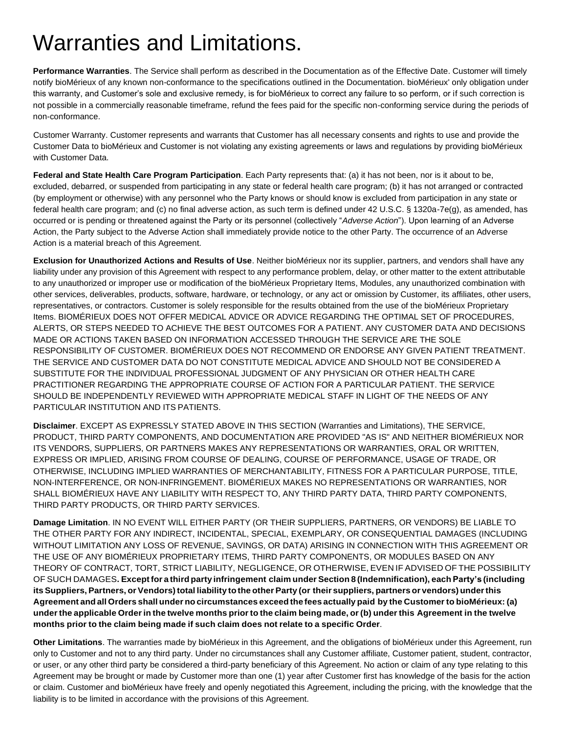### Warranties and Limitations.

**Performance Warranties**. The Service shall perform as described in the Documentation as of the Effective Date. Customer will timely notify bioMérieux of any known non-conformance to the specifications outlined in the Documentation. bioMérieux' only obligation under this warranty, and Customer's sole and exclusive remedy, is for bioMérieux to correct any failure to so perform, or if such correction is not possible in a commercially reasonable timeframe, refund the fees paid for the specific non-conforming service during the periods of non-conformance.

Customer Warranty. Customer represents and warrants that Customer has all necessary consents and rights to use and provide the Customer Data to bioMérieux and Customer is not violating any existing agreements or laws and regulations by providing bioMérieux with Customer Data.

**Federal and State Health Care Program Participation**. Each Party represents that: (a) it has not been, nor is it about to be, excluded, debarred, or suspended from participating in any state or federal health care program; (b) it has not arranged or contracted (by employment or otherwise) with any personnel who the Party knows or should know is excluded from participation in any state or federal health care program; and (c) no final adverse action, as such term is defined under 42 U.S.C. § 1320a-7e(g), as amended, has occurred or is pending or threatened against the Party or its personnel (collectively "*Adverse Action*"). Upon learning of an Adverse Action, the Party subject to the Adverse Action shall immediately provide notice to the other Party. The occurrence of an Adverse Action is a material breach of this Agreement.

**Exclusion for Unauthorized Actions and Results of Use**. Neither bioMérieux nor its supplier, partners, and vendors shall have any liability under any provision of this Agreement with respect to any performance problem, delay, or other matter to the extent attributable to any unauthorized or improper use or modification of the bioMérieux Proprietary Items, Modules, any unauthorized combination with other services, deliverables, products, software, hardware, or technology, or any act or omission by Customer, its affiliates, other users, representatives, or contractors. Customer is solely responsible for the results obtained from the use of the bioMérieux Proprietary Items. BIOMÉRIEUX DOES NOT OFFER MEDICAL ADVICE OR ADVICE REGARDING THE OPTIMAL SET OF PROCEDURES, ALERTS, OR STEPS NEEDED TO ACHIEVE THE BEST OUTCOMES FOR A PATIENT. ANY CUSTOMER DATA AND DECISIONS MADE OR ACTIONS TAKEN BASED ON INFORMATION ACCESSED THROUGH THE SERVICE ARE THE SOLE RESPONSIBILITY OF CUSTOMER. BIOMÉRIEUX DOES NOT RECOMMEND OR ENDORSE ANY GIVEN PATIENT TREATMENT. THE SERVICE AND CUSTOMER DATA DO NOT CONSTITUTE MEDICAL ADVICE AND SHOULD NOT BE CONSIDERED A SUBSTITUTE FOR THE INDIVIDUAL PROFESSIONAL JUDGMENT OF ANY PHYSICIAN OR OTHER HEALTH CARE PRACTITIONER REGARDING THE APPROPRIATE COURSE OF ACTION FOR A PARTICULAR PATIENT. THE SERVICE SHOULD BE INDEPENDENTLY REVIEWED WITH APPROPRIATE MEDICAL STAFF IN LIGHT OF THE NEEDS OF ANY PARTICULAR INSTITUTION AND ITS PATIENTS.

**Disclaimer**. EXCEPT AS EXPRESSLY STATED ABOVE IN THIS SECTION (Warranties and Limitations), THE SERVICE, PRODUCT, THIRD PARTY COMPONENTS, AND DOCUMENTATION ARE PROVIDED "AS IS" AND NEITHER BIOMÉRIEUX NOR ITS VENDORS, SUPPLIERS, OR PARTNERS MAKES ANY REPRESENTATIONS OR WARRANTIES, ORAL OR WRITTEN, EXPRESS OR IMPLIED, ARISING FROM COURSE OF DEALING, COURSE OF PERFORMANCE, USAGE OF TRADE, OR OTHERWISE, INCLUDING IMPLIED WARRANTIES OF MERCHANTABILITY, FITNESS FOR A PARTICULAR PURPOSE, TITLE, NON-INTERFERENCE, OR NON-INFRINGEMENT. BIOMÉRIEUX MAKES NO REPRESENTATIONS OR WARRANTIES, NOR SHALL BIOMÉRIEUX HAVE ANY LIABILITY WITH RESPECT TO, ANY THIRD PARTY DATA, THIRD PARTY COMPONENTS, THIRD PARTY PRODUCTS, OR THIRD PARTY SERVICES.

**Damage Limitation**. IN NO EVENT WILL EITHER PARTY (OR THEIR SUPPLIERS, PARTNERS, OR VENDORS) BE LIABLE TO THE OTHER PARTY FOR ANY INDIRECT, INCIDENTAL, SPECIAL, EXEMPLARY, OR CONSEQUENTIAL DAMAGES (INCLUDING WITHOUT LIMITATION ANY LOSS OF REVENUE, SAVINGS, OR DATA) ARISING IN CONNECTION WITH THIS AGREEMENT OR THE USE OF ANY BIOMÉRIEUX PROPRIETARY ITEMS, THIRD PARTY COMPONENTS, OR MODULES BASED ON ANY THEORY OF CONTRACT, TORT, STRICT LIABILITY, NEGLIGENCE, OR OTHERWISE, EVEN IF ADVISED OF THE POSSIBILITY OF SUCH DAMAGES**. Exceptfor a third party infringement claim under Section 8 (Indemnification), each Party's (including** its Suppliers, Partners, or Vendors) total liability to the other Party (or their suppliers, partners or vendors) under this Agreement and all Orders shall under no circumstances exceed the fees actually paid by the Customer to bioMérieux: (a) under the applicable Order in the twelve months prior to the claim being made, or (b) under this Agreement in the twelve **months prior to the claim being made if such claim does not relate to a specific Order**.

**Other Limitations**. The warranties made by bioMérieux in this Agreement, and the obligations of bioMérieux under this Agreement, run only to Customer and not to any third party. Under no circumstances shall any Customer affiliate, Customer patient, student, contractor, or user, or any other third party be considered a third-party beneficiary of this Agreement. No action or claim of any type relating to this Agreement may be brought or made by Customer more than one (1) year after Customer first has knowledge of the basis for the action or claim. Customer and bioMérieux have freely and openly negotiated this Agreement, including the pricing, with the knowledge that the liability is to be limited in accordance with the provisions of this Agreement.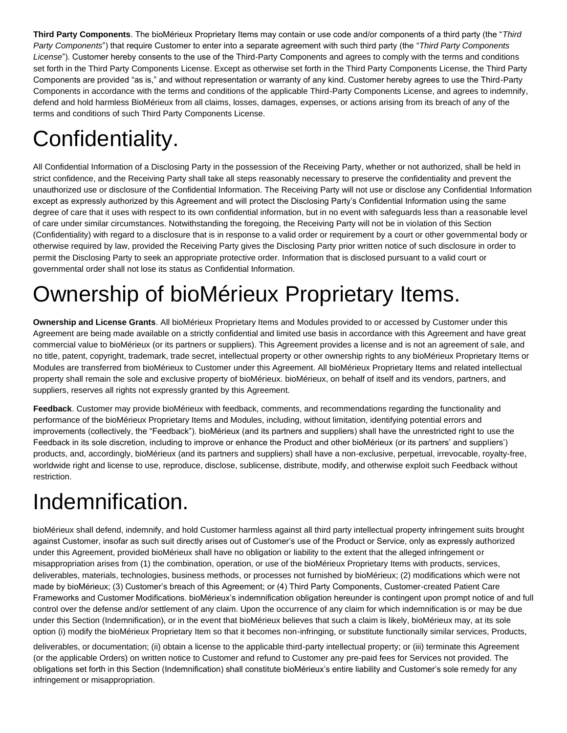**Third Party Components**. The bioMérieux Proprietary Items may contain or use code and/or components of a third party (the "*Third Party Components*") that require Customer to enter into a separate agreement with such third party (the "*Third Party Components License*"). Customer hereby consents to the use of the Third-Party Components and agrees to comply with the terms and conditions set forth in the Third Party Components License. Except as otherwise set forth in the Third Party Components License, the Third Party Components are provided "as is," and without representation or warranty of any kind. Customer hereby agrees to use the Third-Party Components in accordance with the terms and conditions of the applicable Third-Party Components License, and agrees to indemnify, defend and hold harmless BioMérieux from all claims, losses, damages, expenses, or actions arising from its breach of any of the terms and conditions of such Third Party Components License.

# Confidentiality.

All Confidential Information of a Disclosing Party in the possession of the Receiving Party, whether or not authorized, shall be held in strict confidence, and the Receiving Party shall take all steps reasonably necessary to preserve the confidentiality and prevent the unauthorized use or disclosure of the Confidential Information. The Receiving Party will not use or disclose any Confidential Information except as expressly authorized by this Agreement and will protect the Disclosing Party's Confidential Information using the same degree of care that it uses with respect to its own confidential information, but in no event with safeguards less than a reasonable level of care under similar circumstances. Notwithstanding the foregoing, the Receiving Party will not be in violation of this Section (Confidentiality) with regard to a disclosure that is in response to a valid order or requirement by a court or other governmental body or otherwise required by law, provided the Receiving Party gives the Disclosing Party prior written notice of such disclosure in order to permit the Disclosing Party to seek an appropriate protective order. Information that is disclosed pursuant to a valid court or governmental order shall not lose its status as Confidential Information.

# Ownership of bioMérieux Proprietary Items.

**Ownership and License Grants**. All bioMérieux Proprietary Items and Modules provided to or accessed by Customer under this Agreement are being made available on a strictly confidential and limited use basis in accordance with this Agreement and have great commercial value to bioMérieux (or its partners or suppliers). This Agreement provides a license and is not an agreement of sale, and no title, patent, copyright, trademark, trade secret, intellectual property or other ownership rights to any bioMérieux Proprietary Items or Modules are transferred from bioMérieux to Customer under this Agreement. All bioMérieux Proprietary Items and related intellectual property shall remain the sole and exclusive property of bioMérieux. bioMérieux, on behalf of itself and its vendors, partners, and suppliers, reserves all rights not expressly granted by this Agreement.

**Feedback**. Customer may provide bioMérieux with feedback, comments, and recommendations regarding the functionality and performance of the bioMérieux Proprietary Items and Modules, including, without limitation, identifying potential errors and improvements (collectively, the "Feedback"). bioMérieux (and its partners and suppliers) shall have the unrestricted right to use the Feedback in its sole discretion, including to improve or enhance the Product and other bioMérieux (or its partners' and suppliers') products, and, accordingly, bioMérieux (and its partners and suppliers) shall have a non-exclusive, perpetual, irrevocable, royalty-free, worldwide right and license to use, reproduce, disclose, sublicense, distribute, modify, and otherwise exploit such Feedback without restriction.

## Indemnification.

bioMérieux shall defend, indemnify, and hold Customer harmless against all third party intellectual property infringement suits brought against Customer, insofar as such suit directly arises out of Customer's use of the Product or Service, only as expressly authorized under this Agreement, provided bioMérieux shall have no obligation or liability to the extent that the alleged infringement or misappropriation arises from (1) the combination, operation, or use of the bioMérieux Proprietary Items with products, services, deliverables, materials, technologies, business methods, or processes not furnished by bioMérieux; (2) modifications which were not made by bioMérieux; (3) Customer's breach of this Agreement; or (4) Third Party Components, Customer-created Patient Care Frameworks and Customer Modifications. bioMérieux's indemnification obligation hereunder is contingent upon prompt notice of and full control over the defense and/or settlement of any claim. Upon the occurrence of any claim for which indemnification is or may be due under this Section (Indemnification), or in the event that bioMérieux believes that such a claim is likely, bioMérieux may, at its sole option (i) modify the bioMérieux Proprietary Item so that it becomes non-infringing, or substitute functionally similar services, Products,

deliverables, or documentation; (ii) obtain a license to the applicable third-party intellectual property; or (iii) terminate this Agreement (or the applicable Orders) on written notice to Customer and refund to Customer any pre-paid fees for Services not provided. The obligations set forth in this Section (Indemnification) shall constitute bioMérieux's entire liability and Customer's sole remedy for any infringement or misappropriation.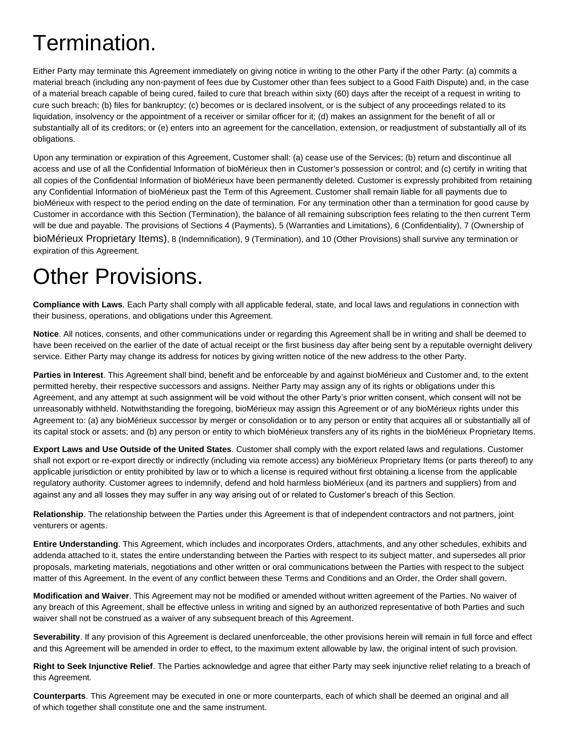### Termination.

Either Party may terminate this Agreement immediately on giving notice in writing to the other Party if the other Party: (a) commits a material breach (including any non-payment of fees due by Customer other than fees subject to a Good Faith Dispute) and, in the case of a material breach capable of being cured, failed to cure that breach within sixty (60) days after the receipt of a request in writing to cure such breach; (b) files for bankruptcy; (c) becomes or is declared insolvent, or is the subject of any proceedings related to its liquidation, insolvency or the appointment of a receiver or similar officer for it; (d) makes an assignment for the benefit of all or substantially all of its creditors; or (e) enters into an agreement for the cancellation, extension, or readjustment of substantially all of its obligations.

Upon any termination or expiration of this Agreement, Customer shall: (a) cease use of the Services; (b) return and discontinue all access and use of all the Confidential Information of bioMérieux then in Customer's possession or control; and (c) certify in writing that all copies of the Confidential Information of bioMérieux have been permanently deleted. Customer is expressly prohibited from retaining any Confidential Information of bioMérieux past the Term of this Agreement. Customer shall remain liable for all payments due to bioMérieux with respect to the period ending on the date of termination. For any termination other than a termination for good cause by Customer in accordance with this Section (Termination), the balance of all remaining subscription fees relating to the then current Term will be due and payable. The provisions of Sections 4 (Payments), 5 (Warranties and Limitations), 6 (Confidentiality), 7 (Ownership of bioMérieux Proprietary Items), 8 (Indemnification), 9 (Termination), and 10 (Other Provisions) shall survive any termination or expiration of this Agreement.

### Other Provisions.

**Compliance with Laws**. Each Party shall comply with all applicable federal, state, and local laws and regulations in connection with their business, operations, and obligations under this Agreement.

**Notice**. All notices, consents, and other communications under or regarding this Agreement shall be in writing and shall be deemed to have been received on the earlier of the date of actual receipt or the first business day after being sent by a reputable overnight delivery service. Either Party may change its address for notices by giving written notice of the new address to the other Party.

**Parties in Interest**. This Agreement shall bind, benefit and be enforceable by and against bioMérieux and Customer and, to the extent permitted hereby, their respective successors and assigns. Neither Party may assign any of its rights or obligations under this Agreement, and any attempt at such assignment will be void without the other Party's prior written consent, which consent will not be unreasonably withheld. Notwithstanding the foregoing, bioMérieux may assign this Agreement or of any bioMérieux rights under this Agreement to: (a) any bioMérieux successor by merger or consolidation or to any person or entity that acquires all or substantially all of its capital stock or assets; and (b) any person or entity to which bioMérieux transfers any of its rights in the bioMérieux Proprietary Items.

**Export Laws and Use Outside of the United States**. Customer shall comply with the export related laws and regulations. Customer shall not export or re-export directly or indirectly (including via remote access) any bioMérieux Proprietary Items (or parts thereof) to any applicable jurisdiction or entity prohibited by law or to which a license is required without first obtaining a license from the applicable regulatory authority. Customer agrees to indemnify, defend and hold harmless bioMérieux (and its partners and suppliers) from and against any and all losses they may suffer in any way arising out of or related to Customer's breach of this Section.

**Relationship**. The relationship between the Parties under this Agreement is that of independent contractors and not partners, joint venturers or agents.

**Entire Understanding**. This Agreement, which includes and incorporates Orders, attachments, and any other schedules, exhibits and addenda attached to it, states the entire understanding between the Parties with respect to its subject matter, and supersedes all prior proposals, marketing materials, negotiations and other written or oral communications between the Parties with respect to the subject matter of this Agreement. In the event of any conflict between these Terms and Conditions and an Order, the Order shall govern.

**Modification and Waiver**. This Agreement may not be modified or amended without written agreement of the Parties. No waiver of any breach of this Agreement, shall be effective unless in writing and signed by an authorized representative of both Parties and such waiver shall not be construed as a waiver of any subsequent breach of this Agreement.

**Severability**. If any provision of this Agreement is declared unenforceable, the other provisions herein will remain in full force and effect and this Agreement will be amended in order to effect, to the maximum extent allowable by law, the original intent of such provision.

**Right to Seek Injunctive Relief**. The Parties acknowledge and agree that either Party may seek injunctive relief relating to a breach of this Agreement.

**Counterparts**. This Agreement may be executed in one or more counterparts, each of which shall be deemed an original and all of which together shall constitute one and the same instrument.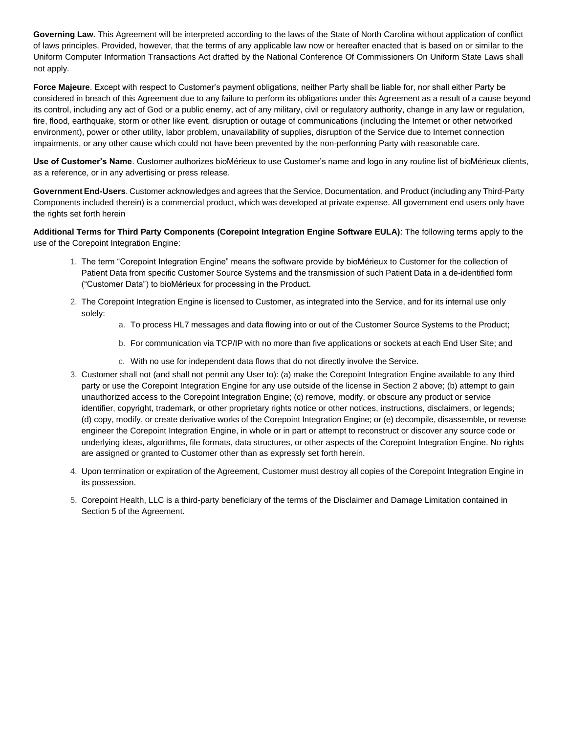**Governing Law**. This Agreement will be interpreted according to the laws of the State of North Carolina without application of conflict of laws principles. Provided, however, that the terms of any applicable law now or hereafter enacted that is based on or similar to the Uniform Computer Information Transactions Act drafted by the National Conference Of Commissioners On Uniform State Laws shall not apply.

**Force Majeure**. Except with respect to Customer's payment obligations, neither Party shall be liable for, nor shall either Party be considered in breach of this Agreement due to any failure to perform its obligations under this Agreement as a result of a cause beyond its control, including any act of God or a public enemy, act of any military, civil or regulatory authority, change in any law or regulation, fire, flood, earthquake, storm or other like event, disruption or outage of communications (including the Internet or other networked environment), power or other utility, labor problem, unavailability of supplies, disruption of the Service due to Internet connection impairments, or any other cause which could not have been prevented by the non-performing Party with reasonable care.

**Use of Customer's Name**. Customer authorizes bioMérieux to use Customer's name and logo in any routine list of bioMérieux clients, as a reference, or in any advertising or press release.

**Government End-Users**. Customer acknowledges and agrees that the Service, Documentation, and Product (including any Third-Party Components included therein) is a commercial product, which was developed at private expense. All government end users only have the rights set forth herein

**Additional Terms for Third Party Components (Corepoint Integration Engine Software EULA)**: The following terms apply to the use of the Corepoint Integration Engine:

- 1. The term "Corepoint Integration Engine" means the software provide by bioMérieux to Customer for the collection of Patient Data from specific Customer Source Systems and the transmission of such Patient Data in a de-identified form ("Customer Data") to bioMérieux for processing in the Product.
- 2. The Corepoint Integration Engine is licensed to Customer, as integrated into the Service, and for its internal use only solely:
	- a. To process HL7 messages and data flowing into or out of the Customer Source Systems to the Product;
	- b. For communication via TCP/IP with no more than five applications or sockets at each End User Site; and
	- c. With no use for independent data flows that do not directly involve the Service.
- 3. Customer shall not (and shall not permit any User to): (a) make the Corepoint Integration Engine available to any third party or use the Corepoint Integration Engine for any use outside of the license in Section 2 above; (b) attempt to gain unauthorized access to the Corepoint Integration Engine; (c) remove, modify, or obscure any product or service identifier, copyright, trademark, or other proprietary rights notice or other notices, instructions, disclaimers, or legends; (d) copy, modify, or create derivative works of the Corepoint Integration Engine; or (e) decompile, disassemble, or reverse engineer the Corepoint Integration Engine, in whole or in part or attempt to reconstruct or discover any source code or underlying ideas, algorithms, file formats, data structures, or other aspects of the Corepoint Integration Engine. No rights are assigned or granted to Customer other than as expressly set forth herein.
- 4. Upon termination or expiration of the Agreement, Customer must destroy all copies of the Corepoint Integration Engine in its possession.
- 5. Corepoint Health, LLC is a third-party beneficiary of the terms of the Disclaimer and Damage Limitation contained in Section 5 of the Agreement.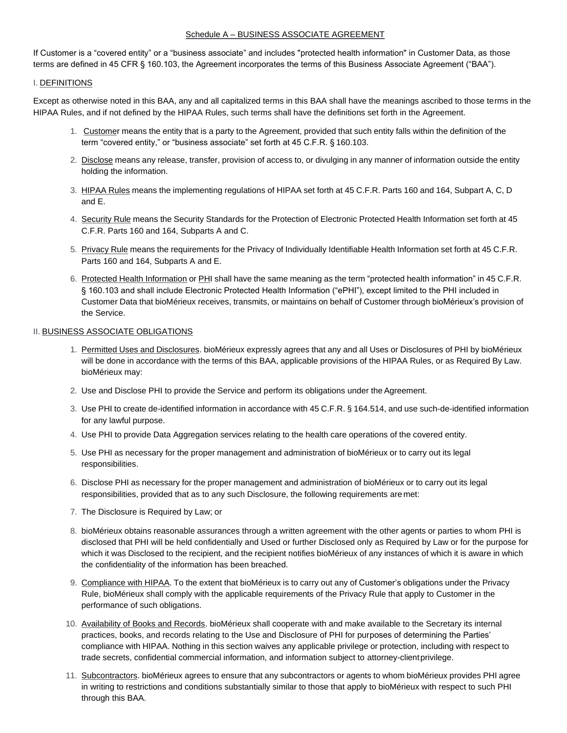#### Schedule A – BUSINESS ASSOCIATE AGREEMENT

If Customer is a "covered entity" or a "business associate" and includes "protected health information" in Customer Data, as those terms are defined in 45 CFR § 160.103, the Agreement incorporates the terms of this Business Associate Agreement ("BAA").

#### I. DEFINITIONS

Except as otherwise noted in this BAA, any and all capitalized terms in this BAA shall have the meanings ascribed to those terms in the HIPAA Rules, and if not defined by the HIPAA Rules, such terms shall have the definitions set forth in the Agreement.

- 1. Customer means the entity that is a party to the Agreement, provided that such entity falls within the definition of the term "covered entity," or "business associate" set forth at 45 C.F.R. § 160.103.
- 2. Disclose means any release, transfer, provision of access to, or divulging in any manner of information outside the entity holding the information.
- 3. HIPAA Rules means the implementing regulations of HIPAA set forth at 45 C.F.R. Parts 160 and 164, Subpart A, C, D and E.
- 4. Security Rule means the Security Standards for the Protection of Electronic Protected Health Information set forth at 45 C.F.R. Parts 160 and 164, Subparts A and C.
- 5. Privacy Rule means the requirements for the Privacy of Individually Identifiable Health Information set forth at 45 C.F.R. Parts 160 and 164, Subparts A and E.
- 6. Protected Health Information or PHI shall have the same meaning as the term "protected health information" in 45 C.F.R. § 160.103 and shall include Electronic Protected Health Information ("ePHI"), except limited to the PHI included in Customer Data that bioMérieux receives, transmits, or maintains on behalf of Customer through bioMérieux's provision of the Service.

#### **II. BUSINESS ASSOCIATE OBLIGATIONS**

- 1. Permitted Uses and Disclosures. bioMérieux expressly agrees that any and all Uses or Disclosures of PHI by bioMérieux will be done in accordance with the terms of this BAA, applicable provisions of the HIPAA Rules, or as Required By Law. bioMérieux may:
- 2. Use and Disclose PHI to provide the Service and perform its obligations under the Agreement.
- 3. Use PHI to create de-identified information in accordance with 45 C.F.R. § 164.514, and use such-de-identified information for any lawful purpose.
- 4. Use PHI to provide Data Aggregation services relating to the health care operations of the covered entity.
- 5. Use PHI as necessary for the proper management and administration of bioMérieux or to carry out its legal responsibilities.
- 6. Disclose PHI as necessary for the proper management and administration of bioMérieux or to carry out its legal responsibilities, provided that as to any such Disclosure, the following requirements are met:
- 7. The Disclosure is Required by Law; or
- 8. bioMérieux obtains reasonable assurances through a written agreement with the other agents or parties to whom PHI is disclosed that PHI will be held confidentially and Used or further Disclosed only as Required by Law or for the purpose for which it was Disclosed to the recipient, and the recipient notifies bioMérieux of any instances of which it is aware in which the confidentiality of the information has been breached.
- 9. Compliance with HIPAA. To the extent that bioMérieux is to carry out any of Customer's obligations under the Privacy Rule, bioMérieux shall comply with the applicable requirements of the Privacy Rule that apply to Customer in the performance of such obligations.
- 10. Availability of Books and Records. bioMérieux shall cooperate with and make available to the Secretary its internal practices, books, and records relating to the Use and Disclosure of PHI for purposes of determining the Parties' compliance with HIPAA. Nothing in this section waives any applicable privilege or protection, including with respect to trade secrets, confidential commercial information, and information subject to attorney-clientprivilege.
- 11. Subcontractors. bioMérieux agrees to ensure that any subcontractors or agents to whom bioMérieux provides PHI agree in writing to restrictions and conditions substantially similar to those that apply to bioMérieux with respect to such PHI through this BAA.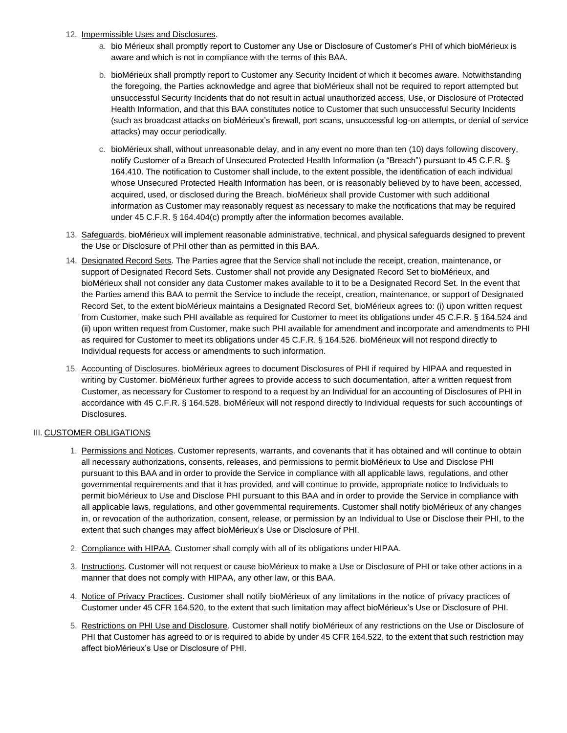#### 12. Impermissible Uses and Disclosures.

- a. bio Mérieux shall promptly report to Customer any Use or Disclosure of Customer's PHI of which bioMérieux is aware and which is not in compliance with the terms of this BAA.
- b. bioMérieux shall promptly report to Customer any Security Incident of which it becomes aware. Notwithstanding the foregoing, the Parties acknowledge and agree that bioMérieux shall not be required to report attempted but unsuccessful Security Incidents that do not result in actual unauthorized access, Use, or Disclosure of Protected Health Information, and that this BAA constitutes notice to Customer that such unsuccessful Security Incidents (such as broadcast attacks on bioMérieux's firewall, port scans, unsuccessful log-on attempts, or denial of service attacks) may occur periodically.
- c. bioMérieux shall, without unreasonable delay, and in any event no more than ten (10) days following discovery, notify Customer of a Breach of Unsecured Protected Health Information (a "Breach") pursuant to 45 C.F.R. § 164.410. The notification to Customer shall include, to the extent possible, the identification of each individual whose Unsecured Protected Health Information has been, or is reasonably believed by to have been, accessed, acquired, used, or disclosed during the Breach. bioMérieux shall provide Customer with such additional information as Customer may reasonably request as necessary to make the notifications that may be required under 45 C.F.R. § 164.404(c) promptly after the information becomes available.
- 13. Safeguards. bioMérieux will implement reasonable administrative, technical, and physical safeguards designed to prevent the Use or Disclosure of PHI other than as permitted in this BAA.
- 14. Designated Record Sets. The Parties agree that the Service shall not include the receipt, creation, maintenance, or support of Designated Record Sets. Customer shall not provide any Designated Record Set to bioMérieux, and bioMérieux shall not consider any data Customer makes available to it to be a Designated Record Set. In the event that the Parties amend this BAA to permit the Service to include the receipt, creation, maintenance, or support of Designated Record Set, to the extent bioMérieux maintains a Designated Record Set, bioMérieux agrees to: (i) upon written request from Customer, make such PHI available as required for Customer to meet its obligations under 45 C.F.R. § 164.524 and (ii) upon written request from Customer, make such PHI available for amendment and incorporate and amendments to PHI as required for Customer to meet its obligations under 45 C.F.R. § 164.526. bioMérieux will not respond directly to Individual requests for access or amendments to such information.
- 15. Accounting of Disclosures. bioMérieux agrees to document Disclosures of PHI if required by HIPAA and requested in writing by Customer. bioMérieux further agrees to provide access to such documentation, after a written request from Customer, as necessary for Customer to respond to a request by an Individual for an accounting of Disclosures of PHI in accordance with 45 C.F.R. § 164.528. bioMérieux will not respond directly to Individual requests for such accountings of Disclosures.

### **III. CUSTOMER OBLIGATIONS**

- 1. Permissions and Notices. Customer represents, warrants, and covenants that it has obtained and will continue to obtain all necessary authorizations, consents, releases, and permissions to permit bioMérieux to Use and Disclose PHI pursuant to this BAA and in order to provide the Service in compliance with all applicable laws, regulations, and other governmental requirements and that it has provided, and will continue to provide, appropriate notice to Individuals to permit bioMérieux to Use and Disclose PHI pursuant to this BAA and in order to provide the Service in compliance with all applicable laws, regulations, and other governmental requirements. Customer shall notify bioMérieux of any changes in, or revocation of the authorization, consent, release, or permission by an Individual to Use or Disclose their PHI, to the extent that such changes may affect bioMérieux's Use or Disclosure of PHI.
- 2. Compliance with HIPAA. Customer shall comply with all of its obligations under HIPAA.
- 3. Instructions. Customer will not request or cause bioMérieux to make a Use or Disclosure of PHI or take other actions in a manner that does not comply with HIPAA, any other law, or this BAA.
- 4. Notice of Privacy Practices. Customer shall notify bioMérieux of any limitations in the notice of privacy practices of Customer under 45 CFR 164.520, to the extent that such limitation may affect bioMérieux's Use or Disclosure of PHI.
- 5. Restrictions on PHI Use and Disclosure. Customer shall notify bioMérieux of any restrictions on the Use or Disclosure of PHI that Customer has agreed to or is required to abide by under 45 CFR 164.522, to the extent that such restriction may affect bioMérieux's Use or Disclosure of PHI.